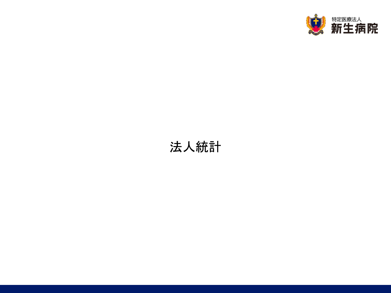

## 法人統計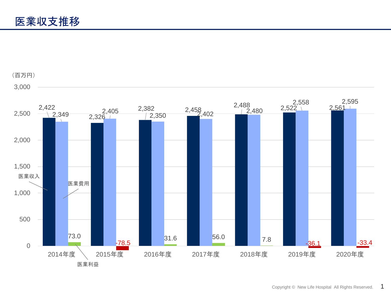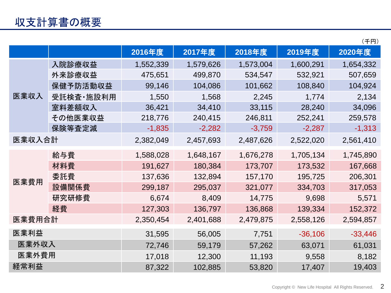|        |             |           |           |           |           | (千円)      |
|--------|-------------|-----------|-----------|-----------|-----------|-----------|
|        |             | 2016年度    | 2017年度    | 2018年度    | 2019年度    | 2020年度    |
| 医業収入   | 入院診療収益      | 1,552,339 | 1,579,626 | 1,573,004 | 1,600,291 | 1,654,332 |
|        | 外来診療収益      | 475,651   | 499,870   | 534,547   | 532,921   | 507,659   |
|        | 保健予防活動収益    | 99,146    | 104,086   | 101,662   | 108,840   | 104,924   |
|        | 受託検査 · 施設利用 | 1,550     | 1,568     | 2,245     | 1,774     | 2,134     |
|        | 室料差額収入      | 36,421    | 34,410    | 33,115    | 28,240    | 34,096    |
|        | その他医業収益     | 218,776   | 240,415   | 246,811   | 252,241   | 259,578   |
|        | 保険等査定減      | $-1,835$  | $-2,282$  | $-3,759$  | $-2,287$  | $-1,313$  |
| 医業収入合計 |             | 2,382,049 | 2,457,693 | 2,487,626 | 2,522,020 | 2,561,410 |
|        | 給与費         | 1,588,028 | 1,648,167 | 1,676,278 | 1,705,134 | 1,745,890 |
|        | 材料費         | 191,627   | 180,384   | 173,707   | 173,532   | 167,668   |
|        | 委託費         | 137,636   | 132,894   | 157,170   | 195,725   | 206,301   |
| 医業費用   | 設備関係費       | 299,187   | 295,037   | 321,077   | 334,703   | 317,053   |
|        | 研究研修費       | 6,674     | 8,409     | 14,775    | 9,698     | 5,571     |
|        | 経費          | 127,303   | 136,797   | 136,868   | 139,334   | 152,372   |
| 医業費用合計 |             | 2,350,454 | 2,401,688 | 2,479,875 | 2,558,126 | 2,594,857 |
| 医業利益   |             | 31,595    | 56,005    | 7,751     | $-36,106$ | $-33,446$ |
| 医業外収入  |             | 72,746    | 59,179    | 57,262    | 63,071    | 61,031    |
| 医業外費用  |             | 17,018    | 12,300    | 11,193    | 9,558     | 8,182     |
| 経常利益   |             | 87,322    | 102,885   | 53,820    | 17,407    | 19,403    |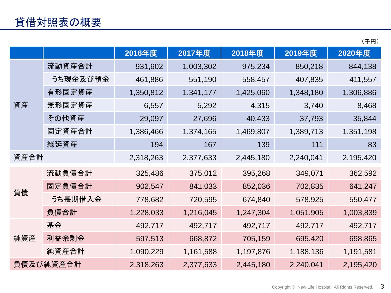|--|

|           |          | 2016年度    | 2017年度    | 2018年度    | 2019年度    | 2020年度    |
|-----------|----------|-----------|-----------|-----------|-----------|-----------|
| 資産        | 流動資産合計   | 931,602   | 1,003,302 | 975,234   | 850,218   | 844,138   |
|           | うち現金及び預金 | 461,886   | 551,190   | 558,457   | 407,835   | 411,557   |
|           | 有形固定資産   | 1,350,812 | 1,341,177 | 1,425,060 | 1,348,180 | 1,306,886 |
|           | 無形固定資産   | 6,557     | 5,292     | 4,315     | 3,740     | 8,468     |
|           | その他資産    | 29,097    | 27,696    | 40,433    | 37,793    | 35,844    |
|           | 固定資産合計   | 1,386,466 | 1,374,165 | 1,469,807 | 1,389,713 | 1,351,198 |
|           | 繰延資産     | 194       | 167       | 139       | 111       | 83        |
| 資産合計      |          | 2,318,263 | 2,377,633 | 2,445,180 | 2,240,041 | 2,195,420 |
| 負債        | 流動負債合計   | 325,486   | 375,012   | 395,268   | 349,071   | 362,592   |
|           | 固定負債合計   | 902,547   | 841,033   | 852,036   | 702,835   | 641,247   |
|           | うち長期借入金  | 778,682   | 720,595   | 674,840   | 578,925   | 550,477   |
|           | 負債合計     | 1,228,033 | 1,216,045 | 1,247,304 | 1,051,905 | 1,003,839 |
| 純資産       | 基金       | 492,717   | 492,717   | 492,717   | 492,717   | 492,717   |
|           | 利益余剰金    | 597,513   | 668,872   | 705,159   | 695,420   | 698,865   |
|           | 純資産合計    | 1,090,229 | 1,161,588 | 1,197,876 | 1,188,136 | 1,191,581 |
| 負債及び純資産合計 |          | 2,318,263 | 2,377,633 | 2,445,180 | 2,240,041 | 2,195,420 |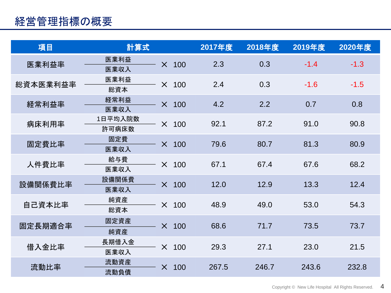## 経営管理指標の概要

| 項目       | 計算式              |          |              | 2017年度 | 2018年度 | 2019年度 | 2020年度 |
|----------|------------------|----------|--------------|--------|--------|--------|--------|
| 医業利益率    | 医業利益<br>医業収入     | $\times$ | 100          | 2.3    | 0.3    | $-1.4$ | $-1.3$ |
| 総資本医業利益率 | 医業利益<br>総資本      | $\times$ | 100          | 2.4    | 0.3    | $-1.6$ | $-1.5$ |
| 経常利益率    | 経常利益<br>医業収入     |          | $\times$ 100 | 4.2    | 2.2    | 0.7    | 0.8    |
| 病床利用率    | 1日平均入院数<br>許可病床数 | $\times$ | 100          | 92.1   | 87.2   | 91.0   | 90.8   |
| 固定費比率    | 固定費<br>医業収入      |          | $\times$ 100 | 79.6   | 80.7   | 81.3   | 80.9   |
| 人件費比率    | 給与費<br>医業収入      | $\times$ | 100          | 67.1   | 67.4   | 67.6   | 68.2   |
| 設備関係費比率  | 設備関係費<br>医業収入    | $\times$ | 100          | 12.0   | 12.9   | 13.3   | 12.4   |
| 自己資本比率   | 純資産<br>総資本       | $\times$ | 100          | 48.9   | 49.0   | 53.0   | 54.3   |
| 固定長期適合率  | 固定資産<br>純資産      | $\times$ | 100          | 68.6   | 71.7   | 73.5   | 73.7   |
| 借入金比率    | 長期借入金<br>医業収入    | $\times$ | 100          | 29.3   | 27.1   | 23.0   | 21.5   |
| 流動比率     | 流動資産<br>流動負債     | $\times$ | 100          | 267.5  | 246.7  | 243.6  | 232.8  |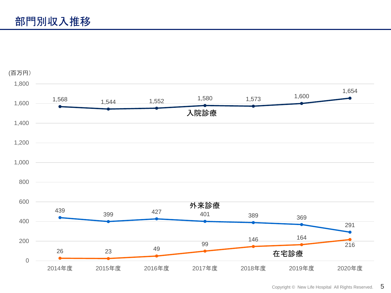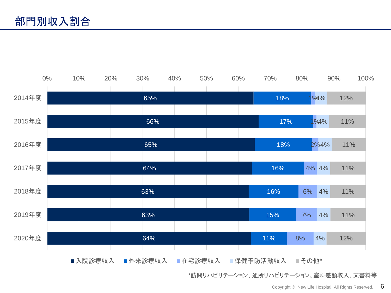

\*訪問リハビリテーション、通所リハビリテーション、室料差額収入、文書料等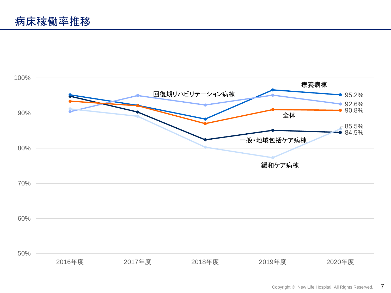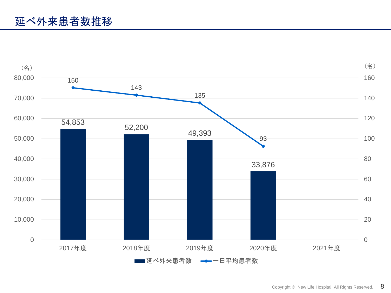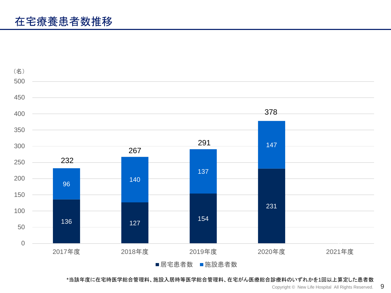

\*当該年度に在宅時医学総合管理料、施設入居時等医学総合管理料、在宅がん医療総合診療料のいずれかを1回以上算定した患者数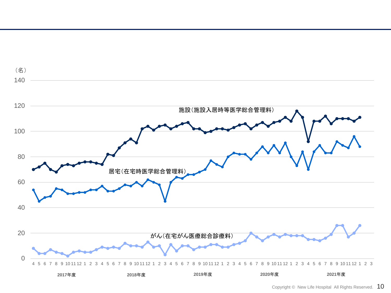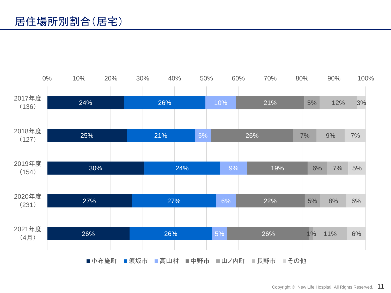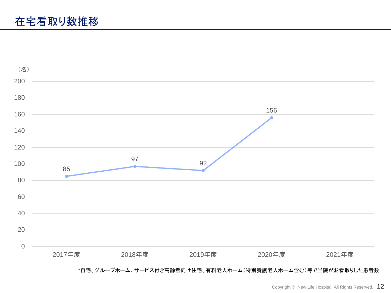

## \*自宅、グループホーム、サービス付き高齢者向け住宅、有料老人ホーム(特別養護老人ホーム含む)等で当院がお看取りした患者数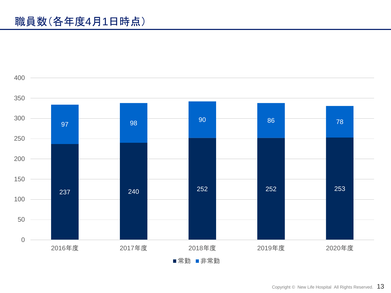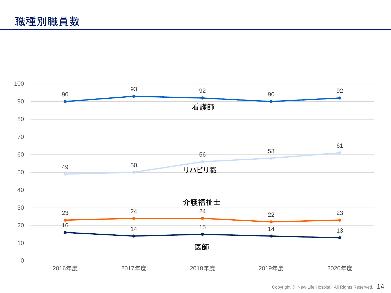